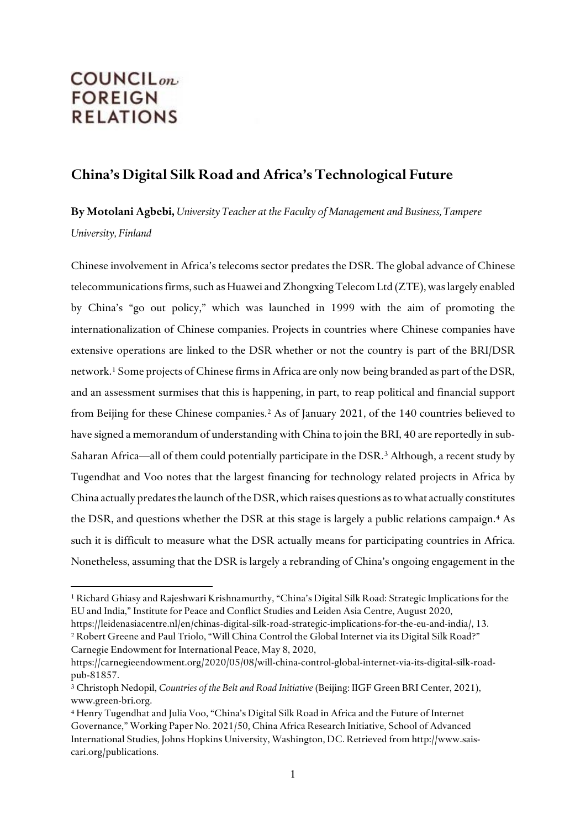# **COUNCIL**<sub>on</sub> **FOREIGN RELATIONS**

 $\overline{a}$ 

# **China's Digital Silk Road and Africa's Technological Future**

**By Motolani Agbebi,** *University Teacher at the Faculty of Management and Business, Tampere University, Finland*

Chinese involvement in Africa's telecoms sector predates the DSR. The global advance of Chinese telecommunications firms, such as Huawei and Zhongxing Telecom Ltd (ZTE), was largely enabled by China's "go out policy," which was launched in 1999 with the aim of promoting the internationalization of Chinese companies. Projects in countries where Chinese companies have extensive operations are linked to the DSR whether or not the country is part of the BRI/DSR network.[1](#page-0-0) Some projects of Chinese firms in Africa are only now being branded as part of the DSR, and an assessment surmises that this is happening, in part, to reap political and financial support from Beijing for these Chinese companies. [2](#page-0-1) As of January 2021, of the 140 countries believed to have signed a memorandum of understanding with China to join the BRI, 40 are reportedly in sub-Saharan Africa—all of them could potentially participate in the DSR.<sup>3</sup> Although, a recent study by Tugendhat and Voo notes that the largest financing for technology related projects in Africa by China actually predates the launch of the DSR, which raises questions as to what actually constitutes the DSR, and questions whether the DSR at this stage is largely a public relations campaign.[4](#page-0-3) As such it is difficult to measure what the DSR actually means for participating countries in Africa. Nonetheless, assuming that the DSR is largely a rebranding of China's ongoing engagement in the

<span id="page-0-0"></span><sup>1</sup> Richard Ghiasy and Rajeshwari Krishnamurthy, "China's Digital Silk Road: Strategic Implications for the EU and India," Institute for Peace and Conflict Studies and Leiden Asia Centre, August 2020,

<span id="page-0-1"></span>https://leidenasiacentre.nl/en/chinas-digital-silk-road-strategic-implications-for-the-eu-and-india/, 13. <sup>2</sup> Robert Greene and Paul Triolo, "Will China Control the Global Internet via its Digital Silk Road?" Carnegie Endowment for International Peace, May 8, 2020,

https://carnegieendowment.org/2020/05/08/will-china-control-global-internet-via-its-digital-silk-roadpub-81857.

<span id="page-0-2"></span><sup>3</sup> Christoph Nedopil, *Countries of the Belt and Road Initiative* (Beijing: IIGF Green BRI Center, 2021), www.green-bri.org.

<span id="page-0-3"></span><sup>4</sup> Henry Tugendhat and Julia Voo, "China's Digital Silk Road in Africa and the Future of Internet Governance," Working Paper No. 2021/50, China Africa Research Initiative, School of Advanced International Studies, Johns Hopkins University, Washington, DC. Retrieved from http://www.saiscari.org/publications.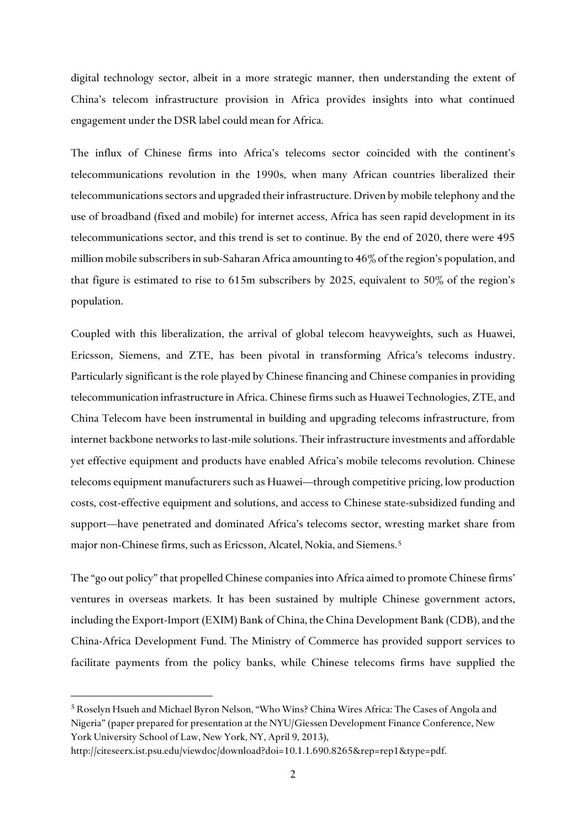digital technology sector, albeit in a more strategic manner, then understanding the extent of China's telecom infrastructure provision in Africa provides insights into what continued engagement under the DSR label could mean for Africa.

The influx of Chinese firms into Africa's telecoms sector coincided with the continent's telecommunications revolution in the 1990s, when many African countries liberalized their telecommunications sectors and upgraded their infrastructure. Driven by mobile telephony and the use of broadband (fixed and mobile) for internet access, Africa has seen rapid development in its telecommunications sector, and this trend is set to continue. By the end of 2020, there were 495 million mobile subscribers in sub-Saharan Africa amounting to 46% of the region's population, and that figure is estimated to rise to 615m subscribers by 2025, equivalent to 50% of the region's population.

Coupled with this liberalization, the arrival of global telecom heavyweights, such as Huawei, Ericsson, Siemens, and ZTE, has been pivotal in transforming Africa's telecoms industry. Particularly significant is the role played by Chinese financing and Chinese companies in providing telecommunication infrastructure in Africa. Chinese firms such as Huawei Technologies, ZTE, and China Telecom have been instrumental in building and upgrading telecoms infrastructure, from internet backbone networks to last-mile solutions. Their infrastructure investments and affordable yet effective equipment and products have enabled Africa's mobile telecoms revolution. Chinese telecoms equipment manufacturers such as Huawei—through competitive pricing, low production costs, cost-effective equipment and solutions, and access to Chinese state-subsidized funding and support—have penetrated and dominated Africa's telecoms sector, wresting market share from major non-Chinese firms, such as Ericsson, Alcatel, Nokia, and Siemens.<sup>[5](#page-1-0)</sup>

The "go out policy" that propelled Chinese companies into Africa aimed to promote Chinese firms' ventures in overseas markets. It has been sustained by multiple Chinese government actors, including the Export-Import (EXIM) Bank of China, the China Development Bank (CDB), and the China-Africa Development Fund. The Ministry of Commerce has provided support services to facilitate payments from the policy banks, while Chinese telecoms firms have supplied the

<span id="page-1-0"></span><sup>5</sup> Roselyn Hsueh and Michael Byron Nelson, "Who Wins? China Wires Africa: The Cases of Angola and Nigeria" (paper prepared for presentation at the NYU/Giessen Development Finance Conference, New York University School of Law, New York, NY, April 9, 2013),

http://citeseerx.ist.psu.edu/viewdoc/download?doi=10.1.1.690.8265&rep=rep1&type=pdf.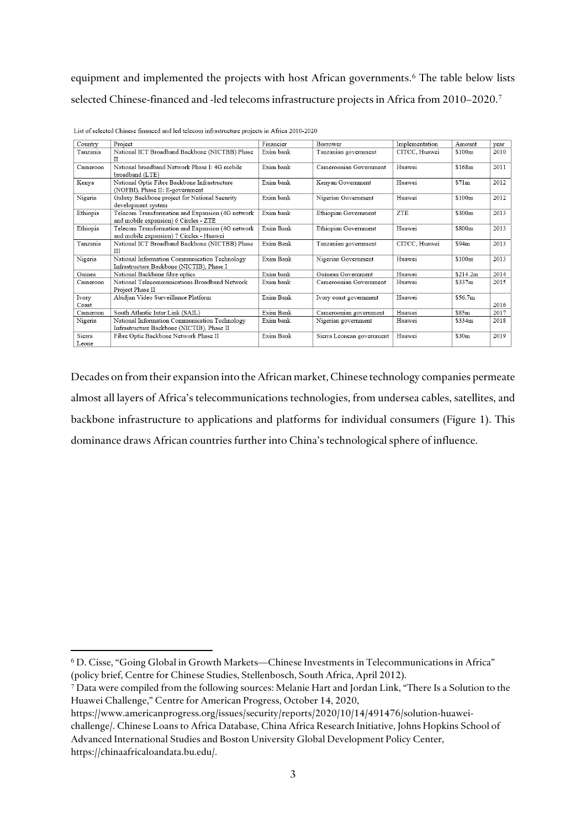equipment and implemented the projects with host African governments.<sup>[6](#page-2-0)</sup> The table below lists selected Chinese-financed and -led telecoms infrastructure projects in Africa from 2010–2020[.7](#page-2-1)

| Country         | Project                                                                                      | Financier | Borrower                  | Implementation | Amount   | year |
|-----------------|----------------------------------------------------------------------------------------------|-----------|---------------------------|----------------|----------|------|
| Tanzania        | National ICT Broadband Backbone (NICTBB) Phase<br>П                                          | Exim bank | Tanzanian government      | CITCC. Huawei  | \$100m   | 2010 |
| Cameroon        | National broadband Network Phase I: 4G mobile<br>broadband (LTE)                             | Exim bank | Cameroonian Government    | Huawei         | \$168m   | 2011 |
| Kenya           | National Optic Fibre Backbone Infrastructure<br>(NOFBI), Phase II: E-government              | Exim bank | Kenyan Government         | Huawei         | \$71m    | 2012 |
| Nigeria         | Galaxy Backbone project for National Security<br>development system                          | Exim bank | Nigerian Government       | Huawei         | \$100m   | 2012 |
| Ethiopia        | Telecom Transformation and Expansion (4G network<br>and mobile expansion) 6 Circles - ZTE    | Exim bank | Ethiopian Government      | <b>ZTE</b>     | \$300m   | 2013 |
| Ethiopia        | Telecom Transformation and Expansion (4G network<br>and mobile expansion) 7 Circles - Huawei | Exim Bank | Ethiopian Government      | Huawei         | \$800m   | 2013 |
| Tanzania        | National ICT Broadband Backbone (NICTBB) Phase<br>Ш                                          | Exim Bank | Tanzanian government      | CITCC, Huawei  | \$94m    | 2013 |
| Nigeria         | National Information Communication Technology<br>Infrastructure Backbone (NICTIB), Phase I   | Exim Bank | Nigerian Government       | Huawei         | \$100m   | 2013 |
| Guinea          | National Backbone fibre optics                                                               | Exim bank | Guinean Government        | Huawei         | \$214.2m | 2014 |
| Cameroon        | National Telecommunications Broadband Network<br>Project Phase II                            | Exim bank | Cameroonian Government    | Huawei         | \$337m   | 2015 |
| Ivory<br>Coast  | Abidjan Video Surveillance Platform                                                          | Exim Bank | Ivory coast government    | Huawei         | \$56.7m  | 2016 |
| Cameroon        | South Atlantic Inter Link (SAIL)                                                             | Exim Bank | Cameroonian government    | Huawei         | \$85m    | 2017 |
| Nigeria         | National Information Communication Technology<br>Infrastructure Backbone (NICTIB), Phase II  | Exim bank | Nigerian government       | Huawei         | \$334m   | 2018 |
| Sierra<br>Leone | Fibre Optic Backbone Network Phase II                                                        | Exim Bank | Sierra Leonean government | Huawei         | \$30m    | 2019 |

List of selected Chinese financed and led telecom infrastructure projects in Africa 2010-2020

Decades on from their expansion into the African market, Chinese technology companies permeate almost all layers of Africa's telecommunications technologies, from undersea cables, satellites, and backbone infrastructure to applications and platforms for individual consumers (Figure 1). This dominance draws African countries further into China's technological sphere of influence.

https://www.americanprogress.org/issues/security/reports/2020/10/14/491476/solution-huawei-

**.** 

challenge/. Chinese Loans to Africa Database, China Africa Research Initiative, Johns Hopkins School of Advanced International Studies and Boston University Global Development Policy Center, https://chinaafricaloandata.bu.edu/.

<span id="page-2-0"></span><sup>6</sup> D. Cisse, "Going Global in Growth Markets—Chinese Investments in Telecommunications in Africa" (policy brief, Centre for Chinese Studies, Stellenbosch, South Africa, April 2012).

<span id="page-2-1"></span><sup>7</sup> Data were compiled from the following sources: Melanie Hart and Jordan Link, "There Is a Solution to the Huawei Challenge," Centre for American Progress, October 14, 2020,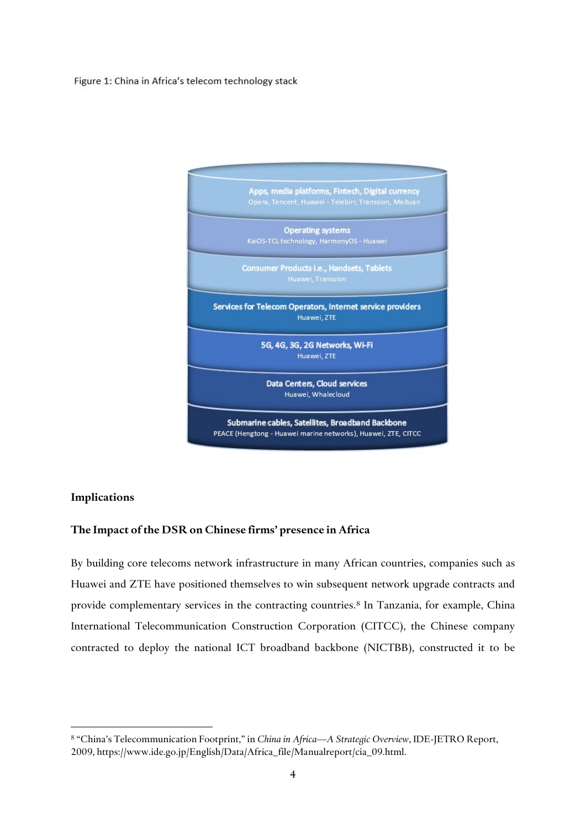### Figure 1: China in Africa's telecom technology stack



#### **Implications**

 $\overline{a}$ 

## **The Impact of the DSR on Chinese firms' presence in Africa**

By building core telecoms network infrastructure in many African countries, companies such as Huawei and ZTE have positioned themselves to win subsequent network upgrade contracts and provide complementary services in the contracting countries.<sup>[8](#page-3-0)</sup> In Tanzania, for example, China International Telecommunication Construction Corporation (CITCC), the Chinese company contracted to deploy the national ICT broadband backbone (NICTBB), constructed it to be

<span id="page-3-0"></span><sup>8</sup> "China's Telecommunication Footprint," in *China in Africa—A Strategic Overview*, IDE-JETRO Report, 2009, https://www.ide.go.jp/English/Data/Africa\_file/Manualreport/cia\_09.html.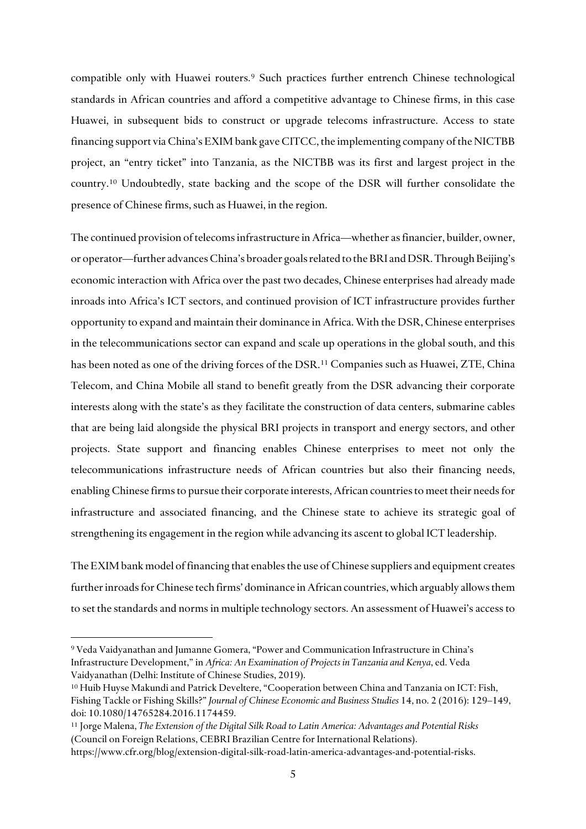compatible only with Huawei routers.<sup>[9](#page-4-0)</sup> Such practices further entrench Chinese technological standards in African countries and afford a competitive advantage to Chinese firms, in this case Huawei, in subsequent bids to construct or upgrade telecoms infrastructure. Access to state financing support via China's EXIM bank gave CITCC, the implementing company of the NICTBB project, an "entry ticket" into Tanzania, as the NICTBB was its first and largest project in the country. [10](#page-4-1) Undoubtedly, state backing and the scope of the DSR will further consolidate the presence of Chinese firms, such as Huawei, in the region.

The continued provision of telecoms infrastructure in Africa—whether as financier, builder, owner, or operator—further advances China's broader goals related to the BRI and DSR. Through Beijing's economic interaction with Africa over the past two decades, Chinese enterprises had already made inroads into Africa's ICT sectors, and continued provision of ICT infrastructure provides further opportunity to expand and maintain their dominance in Africa. With the DSR, Chinese enterprises in the telecommunications sector can expand and scale up operations in the global south, and this has been noted as one of the driving forces of the DSR.[11](#page-4-2) Companies such as Huawei, ZTE, China Telecom, and China Mobile all stand to benefit greatly from the DSR advancing their corporate interests along with the state's as they facilitate the construction of data centers, submarine cables that are being laid alongside the physical BRI projects in transport and energy sectors, and other projects. State support and financing enables Chinese enterprises to meet not only the telecommunications infrastructure needs of African countries but also their financing needs, enabling Chinese firms to pursue their corporate interests, African countries to meet their needs for infrastructure and associated financing, and the Chinese state to achieve its strategic goal of strengthening its engagement in the region while advancing its ascent to global ICT leadership.

The EXIM bank model of financing that enables the use of Chinese suppliers and equipment creates further inroads for Chinese tech firms' dominance in African countries, which arguably allows them to set the standards and norms in multiple technology sectors. An assessment of Huawei's access to

<span id="page-4-0"></span><sup>9</sup> Veda Vaidyanathan and Jumanne Gomera, "Power and Communication Infrastructure in China's Infrastructure Development," in *Africa: An Examination of Projects in Tanzania and Kenya*, ed. Veda Vaidyanathan (Delhi: Institute of Chinese Studies, 2019).

<span id="page-4-1"></span><sup>10</sup> Huib Huyse Makundi and Patrick Develtere, "Cooperation between China and Tanzania on ICT: Fish, Fishing Tackle or Fishing Skills?" *Journal of Chinese Economic and Business Studies* 14, no. 2 (2016): 129–149, doi: 10.1080/14765284.2016.1174459.

<span id="page-4-2"></span><sup>11</sup> Jorge Malena, *The Extension of the Digital Silk Road to Latin America: Advantages and Potential Risks*  (Council on Foreign Relations, CEBRI Brazilian Centre for International Relations).

https://www.cfr.org/blog/extension-digital-silk-road-latin-america-advantages-and-potential-risks.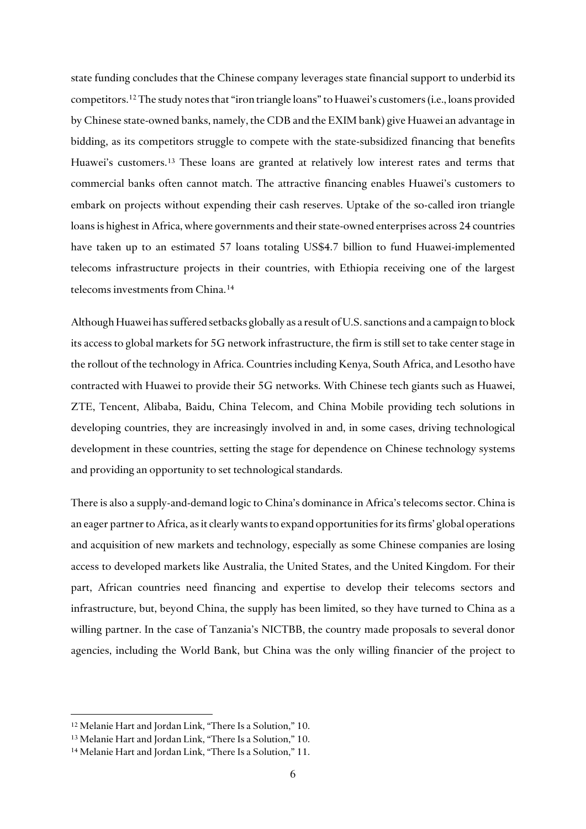state funding concludes that the Chinese company leverages state financial support to underbid its competitors.[12](#page-5-0) The study notes that "iron triangle loans" to Huawei's customers (i.e., loans provided by Chinese state-owned banks, namely, the CDB and the EXIM bank) give Huawei an advantage in bidding, as its competitors struggle to compete with the state-subsidized financing that benefits Huawei's customers.[13](#page-5-1) These loans are granted at relatively low interest rates and terms that commercial banks often cannot match. The attractive financing enables Huawei's customers to embark on projects without expending their cash reserves. Uptake of the so-called iron triangle loans is highest in Africa, where governments and their state-owned enterprises across 24 countries have taken up to an estimated 57 loans totaling US\$4.7 billion to fund Huawei-implemented telecoms infrastructure projects in their countries, with Ethiopia receiving one of the largest telecoms investments from China.[14](#page-5-2)

Although Huawei has suffered setbacks globally as a result of U.S. sanctions and a campaign to block its access to global markets for 5G network infrastructure, the firm is still set to take center stage in the rollout of the technology in Africa. Countries including Kenya, South Africa, and Lesotho have contracted with Huawei to provide their 5G networks. With Chinese tech giants such as Huawei, ZTE, Tencent, Alibaba, Baidu, China Telecom, and China Mobile providing tech solutions in developing countries, they are increasingly involved in and, in some cases, driving technological development in these countries, setting the stage for dependence on Chinese technology systems and providing an opportunity to set technological standards.

There is also a supply-and-demand logic to China's dominance in Africa's telecoms sector. China is an eager partner to Africa, as it clearly wants to expand opportunities for its firms' global operations and acquisition of new markets and technology, especially as some Chinese companies are losing access to developed markets like Australia, the United States, and the United Kingdom. For their part, African countries need financing and expertise to develop their telecoms sectors and infrastructure, but, beyond China, the supply has been limited, so they have turned to China as a willing partner. In the case of Tanzania's NICTBB, the country made proposals to several donor agencies, including the World Bank, but China was the only willing financier of the project to

<span id="page-5-0"></span><sup>12</sup> Melanie Hart and Jordan Link, "There Is a Solution," 10.

<span id="page-5-1"></span><sup>13</sup> Melanie Hart and Jordan Link, "There Is a Solution," 10.

<span id="page-5-2"></span><sup>14</sup> Melanie Hart and Jordan Link, "There Is a Solution," 11.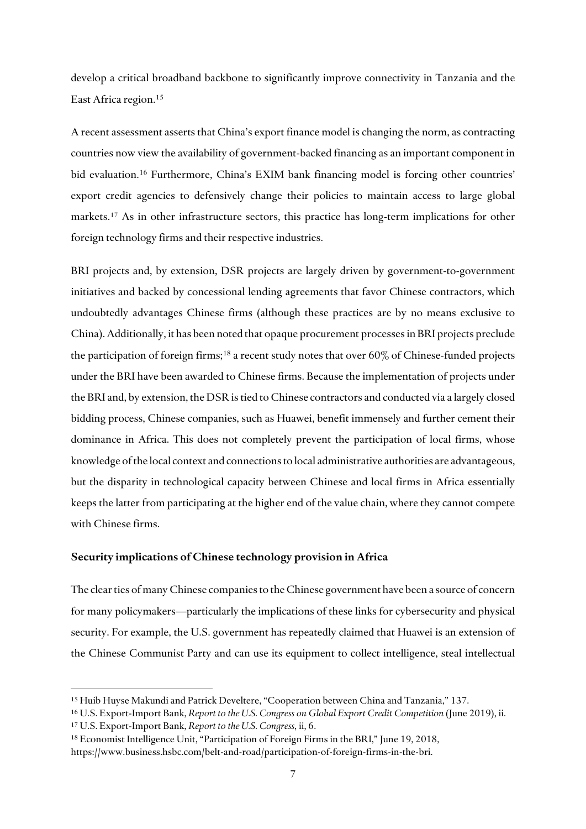develop a critical broadband backbone to significantly improve connectivity in Tanzania and the East Africa region[.15](#page-6-0)

A recent assessment asserts that China's export finance model is changing the norm, as contracting countries now view the availability of government-backed financing as an important component in bid evaluation.<sup>[16](#page-6-1)</sup> Furthermore, China's EXIM bank financing model is forcing other countries' export credit agencies to defensively change their policies to maintain access to large global markets.[17](#page-6-2) As in other infrastructure sectors, this practice has long-term implications for other foreign technology firms and their respective industries.

BRI projects and, by extension, DSR projects are largely driven by government-to-government initiatives and backed by concessional lending agreements that favor Chinese contractors, which undoubtedly advantages Chinese firms (although these practices are by no means exclusive to China). Additionally, it has been noted that opaque procurement processes in BRI projects preclude the participation of foreign firms;<sup>[18](#page-6-3)</sup> a recent study notes that over  $60\%$  of Chinese-funded projects under the BRI have been awarded to Chinese firms. Because the implementation of projects under the BRI and, by extension, the DSR is tied to Chinese contractors and conducted via a largely closed bidding process, Chinese companies, such as Huawei, benefit immensely and further cement their dominance in Africa. This does not completely prevent the participation of local firms, whose knowledge of the local context and connections to local administrative authorities are advantageous, but the disparity in technological capacity between Chinese and local firms in Africa essentially keeps the latter from participating at the higher end of the value chain, where they cannot compete with Chinese firms.

### **Security implications of Chinese technology provision in Africa**

The clear ties of many Chinese companies to the Chinese government have been a source of concern for many policymakers—particularly the implications of these links for cybersecurity and physical security. For example, the U.S. government has repeatedly claimed that Huawei is an extension of the Chinese Communist Party and can use its equipment to collect intelligence, steal intellectual

<span id="page-6-0"></span><sup>15</sup> Huib Huyse Makundi and Patrick Develtere, "Cooperation between China and Tanzania," 137.

<span id="page-6-1"></span><sup>&</sup>lt;sup>16</sup> U.S. Export-Import Bank, *Report to the U.S. Congress on Global Export Credit Competition* (June 2019), ii.

<span id="page-6-2"></span><sup>17</sup> U.S. Export-Import Bank, *Report to the U.S. Congress*, ii, 6.

<span id="page-6-3"></span><sup>18</sup> Economist Intelligence Unit, "Participation of Foreign Firms in the BRI," June 19, 2018, https://www.business.hsbc.com/belt-and-road/participation-of-foreign-firms-in-the-bri.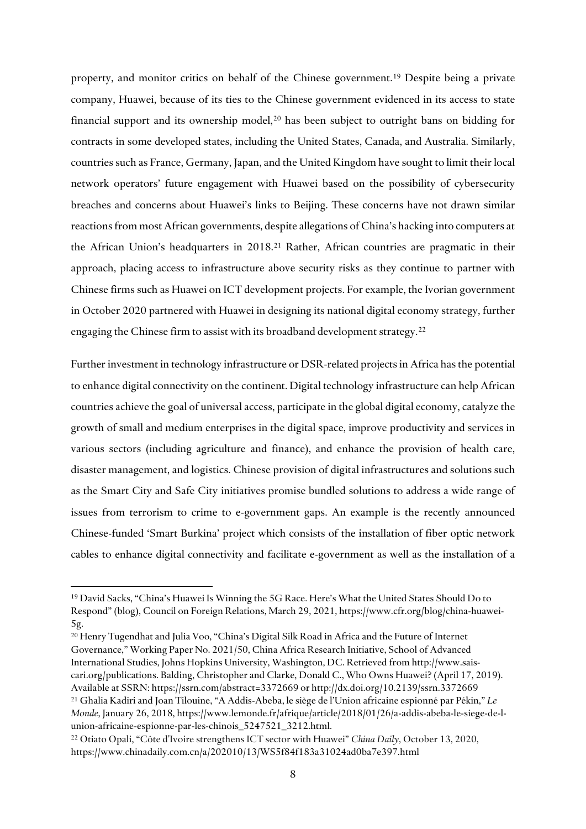property, and monitor critics on behalf of the Chinese government.[19](#page-7-0) Despite being a private company, Huawei, because of its ties to the Chinese government evidenced in its access to state financial support and its ownership model,<sup>[20](#page-7-1)</sup> has been subject to outright bans on bidding for contracts in some developed states, including the United States, Canada, and Australia. Similarly, countries such as France, Germany, Japan, and the United Kingdom have sought to limit their local network operators' future engagement with Huawei based on the possibility of cybersecurity breaches and concerns about Huawei's links to Beijing. These concerns have not drawn similar reactions from most African governments, despite allegations of China's hacking into computers at the African Union's headquarters in 2018.[21](#page-7-2) Rather, African countries are pragmatic in their approach, placing access to infrastructure above security risks as they continue to partner with Chinese firms such as Huawei on ICT development projects. For example, the Ivorian government in October 2020 partnered with Huawei in designing its national digital economy strategy, further engaging the Chinese firm to assist with its broadband development strategy.<sup>[22](#page-7-3)</sup>

Further investment in technology infrastructure or DSR-related projects in Africa has the potential to enhance digital connectivity on the continent. Digital technology infrastructure can help African countries achieve the goal of universal access, participate in the global digital economy, catalyze the growth of small and medium enterprises in the digital space, improve productivity and services in various sectors (including agriculture and finance), and enhance the provision of health care, disaster management, and logistics. Chinese provision of digital infrastructures and solutions such as the Smart City and Safe City initiatives promise bundled solutions to address a wide range of issues from terrorism to crime to e-government gaps. An example is the recently announced Chinese-funded 'Smart Burkina' project which consists of the installation of fiber optic network cables to enhance digital connectivity and facilitate e-government as well as the installation of a

<span id="page-7-1"></span><sup>20</sup> Henry Tugendhat and Julia Voo, "China's Digital Silk Road in Africa and the Future of Internet Governance," Working Paper No. 2021/50, China Africa Research Initiative, School of Advanced International Studies, Johns Hopkins University, Washington, DC. Retrieved from http://www.saiscari.org/publications. Balding, Christopher and Clarke, Donald C., Who Owns Huawei? (April 17, 2019). Available at SSRN: https://ssrn.com/abstract=3372669 or http://dx.doi.org/10.2139/ssrn.3372669 <sup>21</sup> Ghalia Kadiri and Joan Tilouine, "A Addis-Abeba, le siège de l'Union africaine espionné par Pékin," *Le Monde*, January 26, 2018, https://www.lemonde.fr/afrique/article/2018/01/26/a-addis-abeba-le-siege-de-l-

<span id="page-7-2"></span>union-africaine-espionne-par-les-chinois\_5247521\_3212.html.

<span id="page-7-0"></span><sup>19</sup> David Sacks, "China's Huawei Is Winning the 5G Race. Here's What the United States Should Do to Respond" (blog), Council on Foreign Relations, March 29, 2021, https://www.cfr.org/blog/china-huawei-5g.

<span id="page-7-3"></span><sup>22</sup> Otiato Opali, "Côte d'Ivoire strengthens ICT sector with Huawei" *China Daily*, October 13, 2020, https://www.chinadaily.com.cn/a/202010/13/WS5f84f183a31024ad0ba7e397.html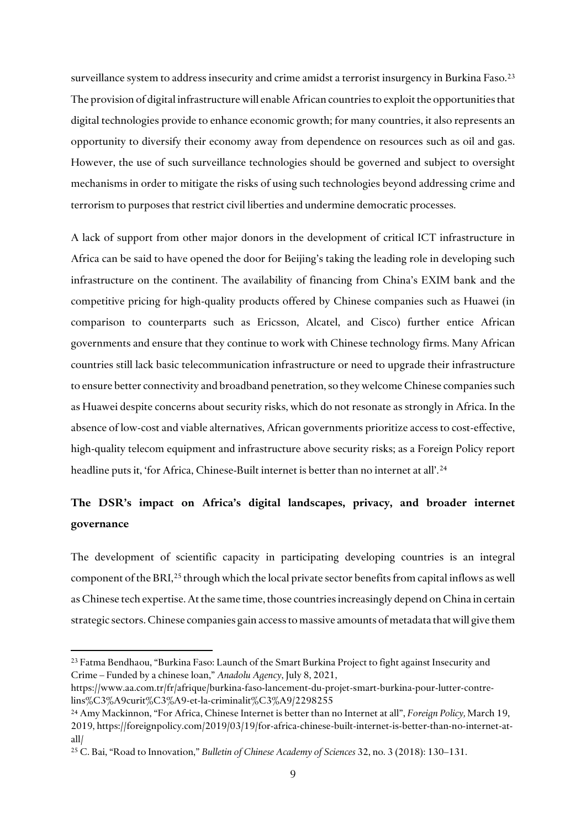surveillance system to address insecurity and crime amidst a terrorist insurgency in Burkina Faso.<sup>[23](#page-8-0)</sup> The provision of digital infrastructure will enable African countries to exploit the opportunities that digital technologies provide to enhance economic growth; for many countries, it also represents an opportunity to diversify their economy away from dependence on resources such as oil and gas. However, the use of such surveillance technologies should be governed and subject to oversight mechanisms in order to mitigate the risks of using such technologies beyond addressing crime and terrorism to purposes that restrict civil liberties and undermine democratic processes.

A lack of support from other major donors in the development of critical ICT infrastructure in Africa can be said to have opened the door for Beijing's taking the leading role in developing such infrastructure on the continent. The availability of financing from China's EXIM bank and the competitive pricing for high-quality products offered by Chinese companies such as Huawei (in comparison to counterparts such as Ericsson, Alcatel, and Cisco) further entice African governments and ensure that they continue to work with Chinese technology firms. Many African countries still lack basic telecommunication infrastructure or need to upgrade their infrastructure to ensure better connectivity and broadband penetration, so they welcome Chinese companies such as Huawei despite concerns about security risks, which do not resonate as strongly in Africa. In the absence of low-cost and viable alternatives, African governments prioritize access to cost-effective, high-quality telecom equipment and infrastructure above security risks; as a Foreign Policy report headline puts it, 'for Africa, Chinese-Built internet is better than no internet at all'.<sup>[24](#page-8-1)</sup>

# **The DSR's impact on Africa's digital landscapes, privacy, and broader internet governance**

The development of scientific capacity in participating developing countries is an integral component of the BRI, [25](#page-8-2) through which the local private sector benefits from capital inflows as well as Chinese tech expertise. At the same time, those countries increasingly depend on China in certain strategic sectors.Chinese companies gain access to massive amounts of metadata that will give them

<span id="page-8-0"></span><sup>23</sup> Fatma Bendhaou, "Burkina Faso: Launch of the Smart Burkina Project to fight against Insecurity and Crime – Funded by a chinese loan," *Anadolu Agency*, July 8, 2021,

https://www.aa.com.tr/fr/afrique/burkina-faso-lancement-du-projet-smart-burkina-pour-lutter-contrelins%C3%A9curit%C3%A9-et-la-criminalit%C3%A9/2298255

<span id="page-8-1"></span><sup>24</sup> Amy Mackinnon, "For Africa, Chinese Internet is better than no Internet at all", *Foreign Policy,* March 19, 2019, https://foreignpolicy.com/2019/03/19/for-africa-chinese-built-internet-is-better-than-no-internet-atall/

<span id="page-8-2"></span><sup>25</sup> C. Bai, "Road to Innovation," *Bulletin of Chinese Academy of Sciences* 32, no. 3 (2018): 130–131.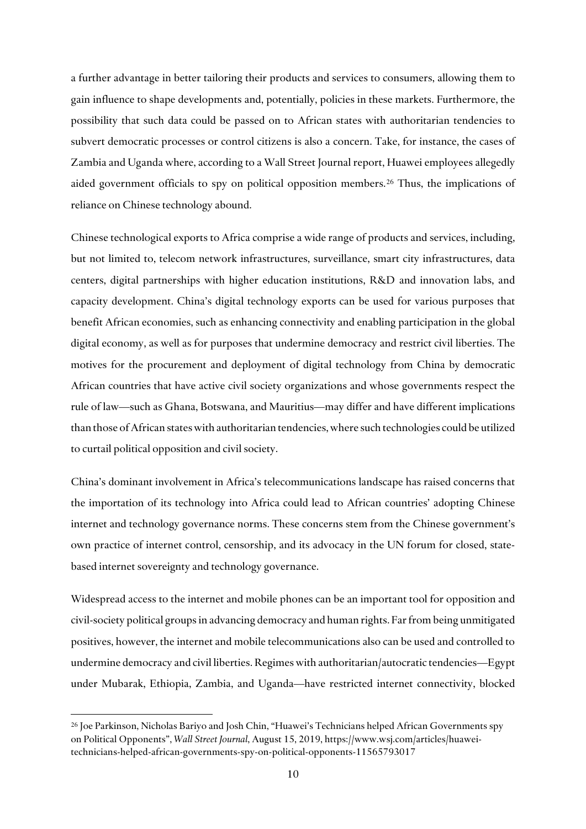a further advantage in better tailoring their products and services to consumers, allowing them to gain influence to shape developments and, potentially, policies in these markets. Furthermore, the possibility that such data could be passed on to African states with authoritarian tendencies to subvert democratic processes or control citizens is also a concern. Take, for instance, the cases of Zambia and Uganda where, according to a Wall Street Journal report, Huawei employees allegedly aided government officials to spy on political opposition members.[26](#page-9-0) Thus, the implications of reliance on Chinese technology abound.

Chinese technological exports to Africa comprise a wide range of products and services, including, but not limited to, telecom network infrastructures, surveillance, smart city infrastructures, data centers, digital partnerships with higher education institutions, R&D and innovation labs, and capacity development. China's digital technology exports can be used for various purposes that benefit African economies, such as enhancing connectivity and enabling participation in the global digital economy, as well as for purposes that undermine democracy and restrict civil liberties. The motives for the procurement and deployment of digital technology from China by democratic African countries that have active civil society organizations and whose governments respect the rule of law—such as Ghana, Botswana, and Mauritius—may differ and have different implications than those of African states with authoritarian tendencies, where such technologies could be utilized to curtail political opposition and civil society.

China's dominant involvement in Africa's telecommunications landscape has raised concerns that the importation of its technology into Africa could lead to African countries' adopting Chinese internet and technology governance norms. These concerns stem from the Chinese government's own practice of internet control, censorship, and its advocacy in the UN forum for closed, statebased internet sovereignty and technology governance.

Widespread access to the internet and mobile phones can be an important tool for opposition and civil-society political groups in advancing democracy and human rights. Far from being unmitigated positives, however, the internet and mobile telecommunications also can be used and controlled to undermine democracy and civil liberties. Regimes with authoritarian/autocratic tendencies—Egypt under Mubarak, Ethiopia, Zambia, and Uganda—have restricted internet connectivity, blocked

<span id="page-9-0"></span><sup>26</sup> Joe Parkinson, Nicholas Bariyo and Josh Chin, "Huawei's Technicians helped African Governments spy on Political Opponents", *Wall Street Journal*, August 15, 2019, https://www.wsj.com/articles/huaweitechnicians-helped-african-governments-spy-on-political-opponents-11565793017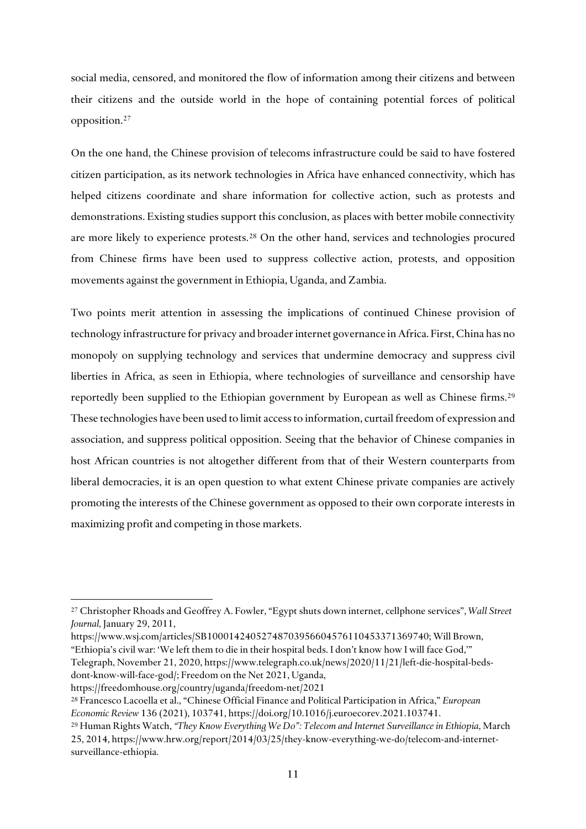social media, censored, and monitored the flow of information among their citizens and between their citizens and the outside world in the hope of containing potential forces of political opposition.[27](#page-10-0)

On the one hand, the Chinese provision of telecoms infrastructure could be said to have fostered citizen participation, as its network technologies in Africa have enhanced connectivity, which has helped citizens coordinate and share information for collective action, such as protests and demonstrations. Existing studies support this conclusion, as places with better mobile connectivity are more likely to experience protests.[28](#page-10-1) On the other hand, services and technologies procured from Chinese firms have been used to suppress collective action, protests, and opposition movements against the government in Ethiopia, Uganda, and Zambia.

Two points merit attention in assessing the implications of continued Chinese provision of technology infrastructure for privacy and broader internet governance in Africa. First, China has no monopoly on supplying technology and services that undermine democracy and suppress civil liberties in Africa, as seen in Ethiopia, where technologies of surveillance and censorship have reportedly been supplied to the Ethiopian government by European as well as Chinese firms. [29](#page-10-2) These technologies have been used to limit access to information, curtail freedom of expression and association, and suppress political opposition. Seeing that the behavior of Chinese companies in host African countries is not altogether different from that of their Western counterparts from liberal democracies, it is an open question to what extent Chinese private companies are actively promoting the interests of the Chinese government as opposed to their own corporate interests in maximizing profit and competing in those markets.

<span id="page-10-0"></span><sup>27</sup> Christopher Rhoads and Geoffrey A. Fowler, "Egypt shuts down internet, cellphone services", *Wall Street Journal,* January 29, 2011,

https://www.wsj.com/articles/SB10001424052748703956604576110453371369740; Will Brown,

<sup>&</sup>quot;Ethiopia's civil war: 'We left them to die in their hospital beds. I don't know how I will face God,'" Telegraph, November 21, 2020, https://www.telegraph.co.uk/news/2020/11/21/left-die-hospital-beds-

dont-know-will-face-god/; Freedom on the Net 2021, Uganda,

https://freedomhouse.org/country/uganda/freedom-net/2021

<span id="page-10-1"></span><sup>28</sup> Francesco Lacoella et al., "Chinese Official Finance and Political Participation in Africa," *European Economic Review* 136 (2021), 103741, https://doi.org/10.1016/j.euroecorev.2021.103741.

<span id="page-10-2"></span><sup>29</sup> Human Rights Watch, *"They Know Everything We Do": Telecom and Internet Surveillance in Ethiopia*, March 25, 2014, https://www.hrw.org/report/2014/03/25/they-know-everything-we-do/telecom-and-internetsurveillance-ethiopia.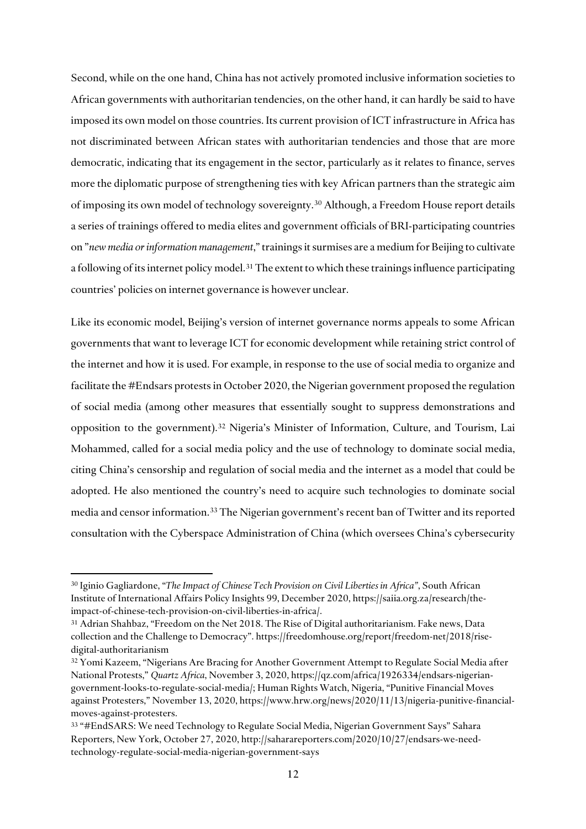Second, while on the one hand, China has not actively promoted inclusive information societies to African governments with authoritarian tendencies, on the other hand, it can hardly be said to have imposed its own model on those countries. Its current provision of ICT infrastructure in Africa has not discriminated between African states with authoritarian tendencies and those that are more democratic, indicating that its engagement in the sector, particularly as it relates to finance, serves more the diplomatic purpose of strengthening ties with key African partners than the strategic aim of imposing its own model of technology sovereignty.[30](#page-11-0) Although, a Freedom House report details a series of trainings offered to media elites and government officials of BRI-participating countries on "*new media or information management*," trainings it surmises are a medium for Beijing to cultivate a following of its internet policy model. [31](#page-11-1) The extent to which these trainings influence participating countries' policies on internet governance is however unclear.

Like its economic model, Beijing's version of internet governance norms appeals to some African governments that want to leverage ICT for economic development while retaining strict control of the internet and how it is used. For example, in response to the use of social media to organize and facilitate the #Endsars protests in October 2020, the Nigerian government proposed the regulation of social media (among other measures that essentially sought to suppress demonstrations and opposition to the government). [32](#page-11-2) Nigeria's Minister of Information, Culture, and Tourism, Lai Mohammed, called for a social media policy and the use of technology to dominate social media, citing China's censorship and regulation of social media and the internet as a model that could be adopted. He also mentioned the country's need to acquire such technologies to dominate social media and censor information.[33](#page-11-3) The Nigerian government's recent ban of Twitter and its reported consultation with the Cyberspace Administration of China (which oversees China's cybersecurity

<span id="page-11-0"></span><sup>30</sup> Iginio Gagliardone, "*The Impact of Chinese Tech Provision on Civil Liberties in Africa"*, South African Institute of International Affairs Policy Insights 99, December 2020, https://saiia.org.za/research/theimpact-of-chinese-tech-provision-on-civil-liberties-in-africa/.

<span id="page-11-1"></span><sup>31</sup> Adrian Shahbaz, "Freedom on the Net 2018. The Rise of Digital authoritarianism. Fake news, Data collection and the Challenge to Democracy". https://freedomhouse.org/report/freedom-net/2018/risedigital-authoritarianism

<span id="page-11-2"></span><sup>32</sup> Yomi Kazeem, "Nigerians Are Bracing for Another Government Attempt to Regulate Social Media after National Protests," *Quartz Africa*, November 3, 2020, https://qz.com/africa/1926334/endsars-nigeriangovernment-looks-to-regulate-social-media/; Human Rights Watch, Nigeria, "Punitive Financial Moves against Protesters," November 13, 2020, https://www.hrw.org/news/2020/11/13/nigeria-punitive-financialmoves-against-protesters.

<span id="page-11-3"></span><sup>33</sup> "#EndSARS: We need Technology to Regulate Social Media, Nigerian Government Says" Sahara Reporters, New York, October 27, 2020, http://saharareporters.com/2020/10/27/endsars-we-needtechnology-regulate-social-media-nigerian-government-says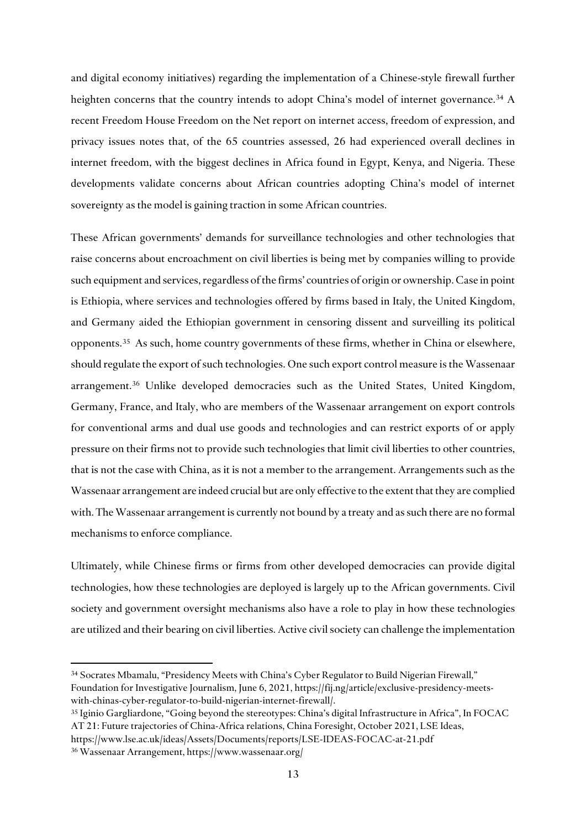and digital economy initiatives) regarding the implementation of a Chinese-style firewall further heighten concerns that the country intends to adopt China's model of internet governance.<sup>[34](#page-12-0)</sup> A recent Freedom House Freedom on the Net report on internet access, freedom of expression, and privacy issues notes that, of the 65 countries assessed, 26 had experienced overall declines in internet freedom, with the biggest declines in Africa found in Egypt, Kenya, and Nigeria. These developments validate concerns about African countries adopting China's model of internet sovereignty as the model is gaining traction in some African countries.

These African governments' demands for surveillance technologies and other technologies that raise concerns about encroachment on civil liberties is being met by companies willing to provide such equipment and services, regardless of the firms' countries of origin or ownership. Case in point is Ethiopia, where services and technologies offered by firms based in Italy, the United Kingdom, and Germany aided the Ethiopian government in censoring dissent and surveilling its political opponents.[35](#page-12-1) As such, home country governments of these firms, whether in China or elsewhere, should regulate the export of such technologies. One such export control measure is the Wassenaar arrangement. [36](#page-12-2) Unlike developed democracies such as the United States, United Kingdom, Germany, France, and Italy, who are members of the Wassenaar arrangement on export controls for conventional arms and dual use goods and technologies and can restrict exports of or apply pressure on their firms not to provide such technologies that limit civil liberties to other countries, that is not the case with China, as it is not a member to the arrangement. Arrangements such as the Wassenaar arrangement are indeed crucial but are only effective to the extent that they are complied with. The Wassenaar arrangement is currently not bound by a treaty and as such there are no formal mechanisms to enforce compliance.

Ultimately, while Chinese firms or firms from other developed democracies can provide digital technologies, how these technologies are deployed is largely up to the African governments. Civil society and government oversight mechanisms also have a role to play in how these technologies are utilized and their bearing on civil liberties. Active civil society can challenge the implementation

<span id="page-12-0"></span><sup>34</sup> Socrates Mbamalu, "Presidency Meets with China's Cyber Regulator to Build Nigerian Firewall," Foundation for Investigative Journalism, June 6, 2021, https://fij.ng/article/exclusive-presidency-meetswith-chinas-cyber-regulator-to-build-nigerian-internet-firewall/.

<span id="page-12-1"></span><sup>35</sup> Iginio Gargliardone, "Going beyond the stereotypes: China's digital Infrastructure in Africa", In FOCAC AT 21: Future trajectories of China-Africa relations, China Foresight, October 2021, LSE Ideas,

https://www.lse.ac.uk/ideas/Assets/Documents/reports/LSE-IDEAS-FOCAC-at-21.pdf

<span id="page-12-2"></span><sup>36</sup> Wassenaar Arrangement, https://www.wassenaar.org/